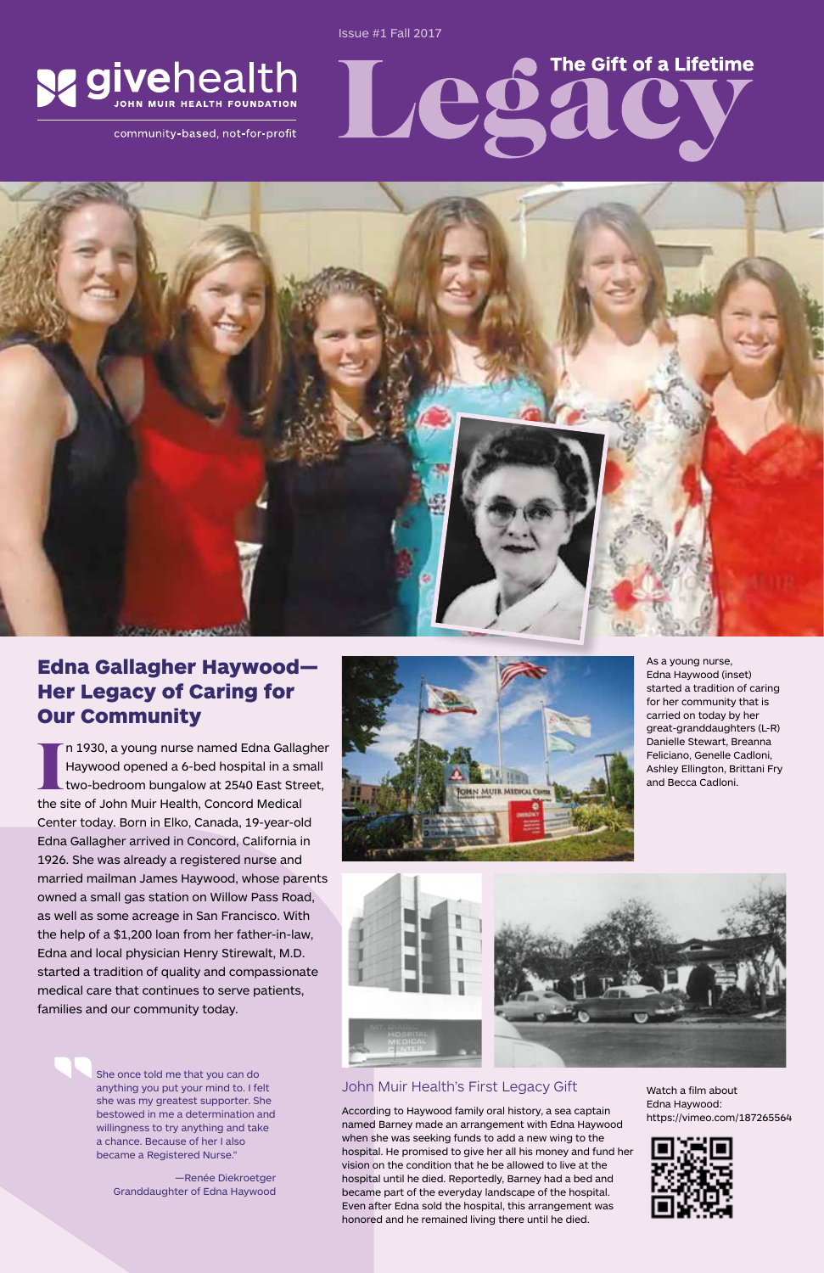## Edna Gallagher Haywood— Her Legacy of Caring for Our Community

I n 1930, a young nurse named Edna Gallag<br>Haywood opened a 6-bed hospital in a sn<br>two-bedroom bungalow at 2540 East Stre<br>the site of John Muir Health, Concord Medical n 1930, a young nurse named Edna Gallagher Haywood opened a 6-bed hospital in a small two-bedroom bungalow at 2540 East Street, Center today. Born in Elko, Canada, 19-year-old Edna Gallagher arrived in Concord, California in 1926. She was already a registered nurse and married mailman James Haywood, whose parents owned a small gas station on Willow Pass Road, as well as some acreage in San Francisco. With the help of a \$1,200 loan from her father-in-law, Edna and local physician Henry Stirewalt, M.D. started a tradition of quality and compassionate medical care that continues to serve patients, families and our community today.

### John Muir Health's First Legacy Gift

According to Haywood family oral history, a sea captain named Barney made an arrangement with Edna Haywood when she was seeking funds to add a new wing to the hospital. He promised to give her all his money and fund her vision on the condition that he be allowed to live at the hospital until he died. Reportedly, Barney had a bed and became part of the everyday landscape of the hospital. Even after Edna sold the hospital, this arrangement was honored and he remained living there until he died.



As a young nurse, Edna Haywood (inset) started a tradition of caring for her community that is carried on today by her great-granddaughters (L-R) Danielle Stewart, Breanna Feliciano, Genelle Cadloni, Ashley Ellington, Brittani Fry and Becca Cadloni.

The Gift of a Lifetime

Sac



She once told me that you can do anything you put your mind to. I felt she was my greatest supporter. She bestowed in me a determination and willingness to try anything and take a chance. Because of her I also became a Registered Nurse."

—Renée Diekroetger Granddaughter of Edna Haywood Issue #1 Fall 2017

24



community-based, not-for-profit



Watch a film about Edna Haywood: https://vimeo.com/187265564

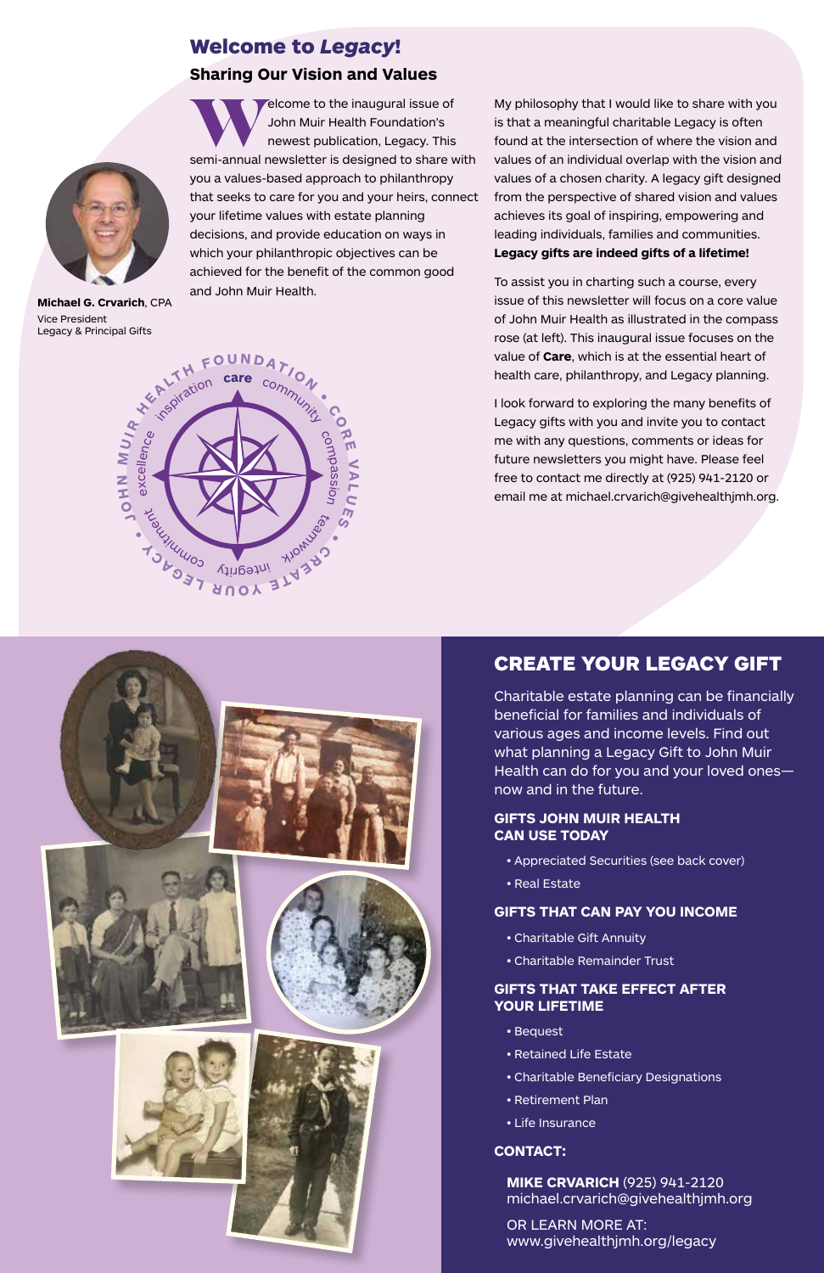## Welcome to *Legacy*! **Sharing Our Vision and Values**

 $\epsilon$ elcome to the inaugural issue of John Muir Health Foundation's newest publication, Legacy. This semi-annual newsletter is designed to share with you a values-based approach to philanthropy that seeks to care for you and your heirs, connect your lifetime values with estate planning decisions, and provide education on ways in which your philanthropic objectives can be achieved for the benefit of the common good and John Muir Health.

My philosophy that I would like to share with you is that a meaningful charitable Legacy is often found at the intersection of where the vision and values of an individual overlap with the vision and values of a chosen charity. A legacy gift designed from the perspective of shared vision and values achieves its goal of inspiring, empowering and leading individuals, families and communities. **Legacy gifts are indeed gifts of a lifetime!**

To assist you in charting such a course, every issue of this newsletter will focus on a core value of John Muir Health as illustrated in the compass rose (at left). This inaugural issue focuses on the value of **Care**, which is at the essential heart of health care, philanthropy, and Legacy planning.

I look forward to exploring the many benefits of Legacy gifts with you and invite you to contact me with any questions, comments or ideas for future newsletters you might have. Please feel free to contact me directly at (925) 941-2120 or email me at michael.crvarich@givehealthjmh.org.





**Michael G. Crvarich**, CPA Vice President Legacy & Principal Gifts

## CREATE YOUR LEGACY GIFT

Charitable estate planning can be financially beneficial for families and individuals of various ages and income levels. Find out what planning a Legacy Gift to John Muir Health can do for you and your loved ones now and in the future.

### **GIFTS JOHN MUIR HEALTH CAN USE TODAY**

- Appreciated Securities (see back cover)
- Real Estate

### **GIFTS THAT CAN PAY YOU INCOME**

- Charitable Gift Annuity
- Charitable Remainder Trust

#### **GIFTS THAT TAKE EFFECT AFTER YOUR LIFETIME**

- Bequest
- Retained Life Estate
- Charitable Beneficiary Designations
- Retirement Plan
- Life Insurance

### **CONTACT:**

**MIKE CRVARICH** (925) 941-2120 michael.crvarich@givehealthjmh.org

OR LEARN MORE AT: www.givehealthjmh.org/legacy

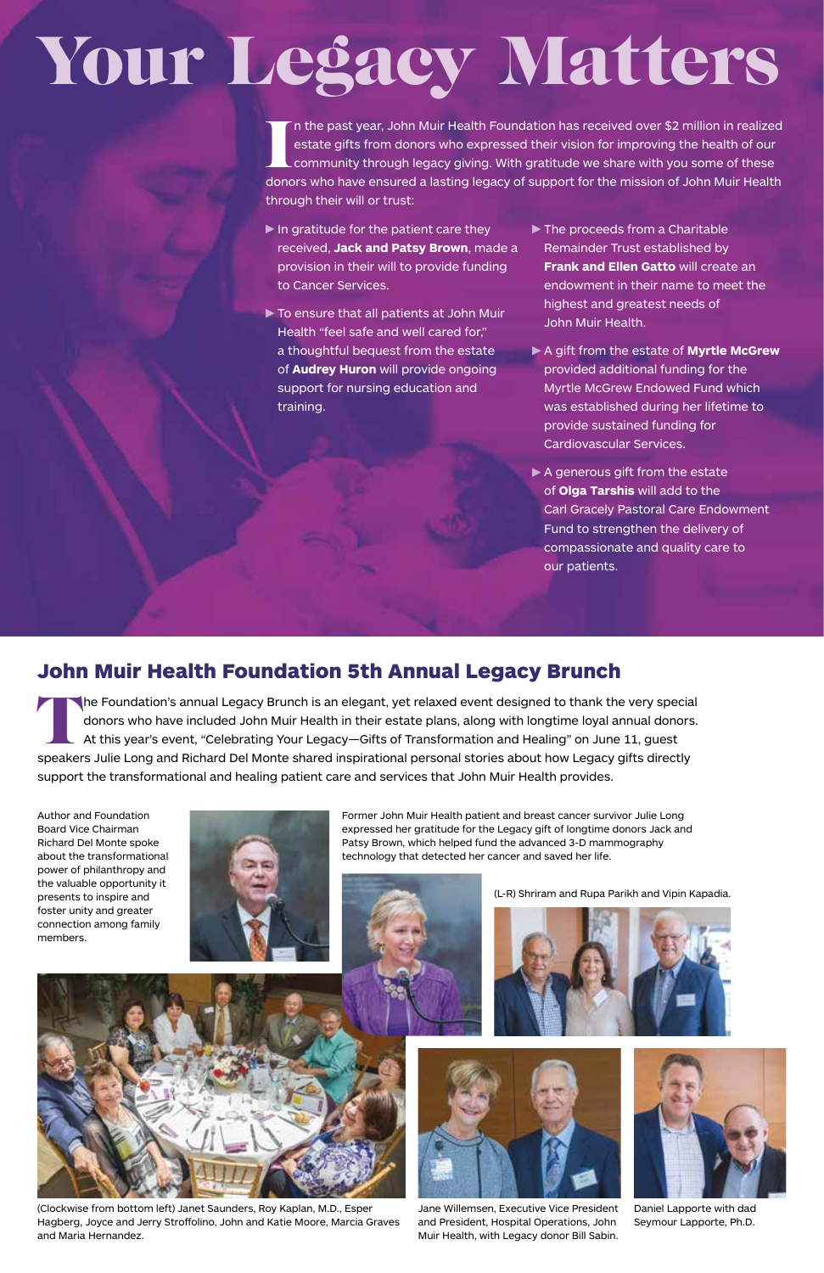## John Muir Health Foundation 5th Annual Legacy Brunch

The Foundation's annual Legacy Brunch is an elegant, yet relaxed event designed to thank the very special donors who have included John Muir Health in their estate plans, along with longtime loyal annual donors. At this year's event, "Celebrating Your Legacy—Gifts of Transformation and Healing" on June 11, guest speakers Julie Long and Richard Del Monte shared inspirational personal stories about how Legacy gifts directly support the transformational and healing patient care and services that John Muir Health provides.

I n the past year, John Muir Health Foundation has received over \$2 million in realized estate gifts from donors who expressed their vision for improving the health of our community through legacy giving. With gratitude we share with you some of these donors who have ensured a lasting legacy of support for the mission of John Muir Health through their will or trust:

 $\blacktriangleright$  In gratitude for the patient care they received, **Jack and Patsy Brown**, made a provision in their will to provide funding to Cancer Services.

 $\triangleright$  To ensure that all patients at John Muir Health "feel safe and well cared for," a thoughtful bequest from the estate of **Audrey Huron** will provide ongoing support for nursing education and training.

- $\blacktriangleright$  The proceeds from a Charitable Remainder Trust established by **Frank and Ellen Gatto** will create an endowment in their name to meet the highest and greatest needs of John Muir Health.
- A gift from the estate of **Myrtle McGrew** provided additional funding for the Myrtle McGrew Endowed Fund which was established during her lifetime to provide sustained funding for Cardiovascular Services.
- $\blacktriangleright$  A generous gift from the estate of **Olga Tarshis** will add to the Carl Gracely Pastoral Care Endowment Fund to strengthen the delivery of compassionate and quality care to our patients.

Former John Muir Health patient and breast cancer survivor Julie Long expressed her gratitude for the Legacy gift of longtime donors Jack and Patsy Brown, which helped fund the advanced 3-D mammography technology that detected her cancer and saved her life.



(L-R) Shriram and Rupa Parikh and Vipin Kapadia.



Author and Foundation Board Vice Chairman Richard Del Monte spoke about the transformational power of philanthropy and the valuable opportunity it presents to inspire and foster unity and greater connection among family









Jane Willemsen, Executive Vice President and President, Hospital Operations, John Muir Health, with Legacy donor Bill Sabin.

Daniel Lapporte with dad Seymour Lapporte, Ph.D.

(Clockwise from bottom left) Janet Saunders, Roy Kaplan, M.D., Esper Hagberg, Joyce and Jerry Stroffolino, John and Katie Moore, Marcia Graves and Maria Hernandez.



# Your Legacy Matters